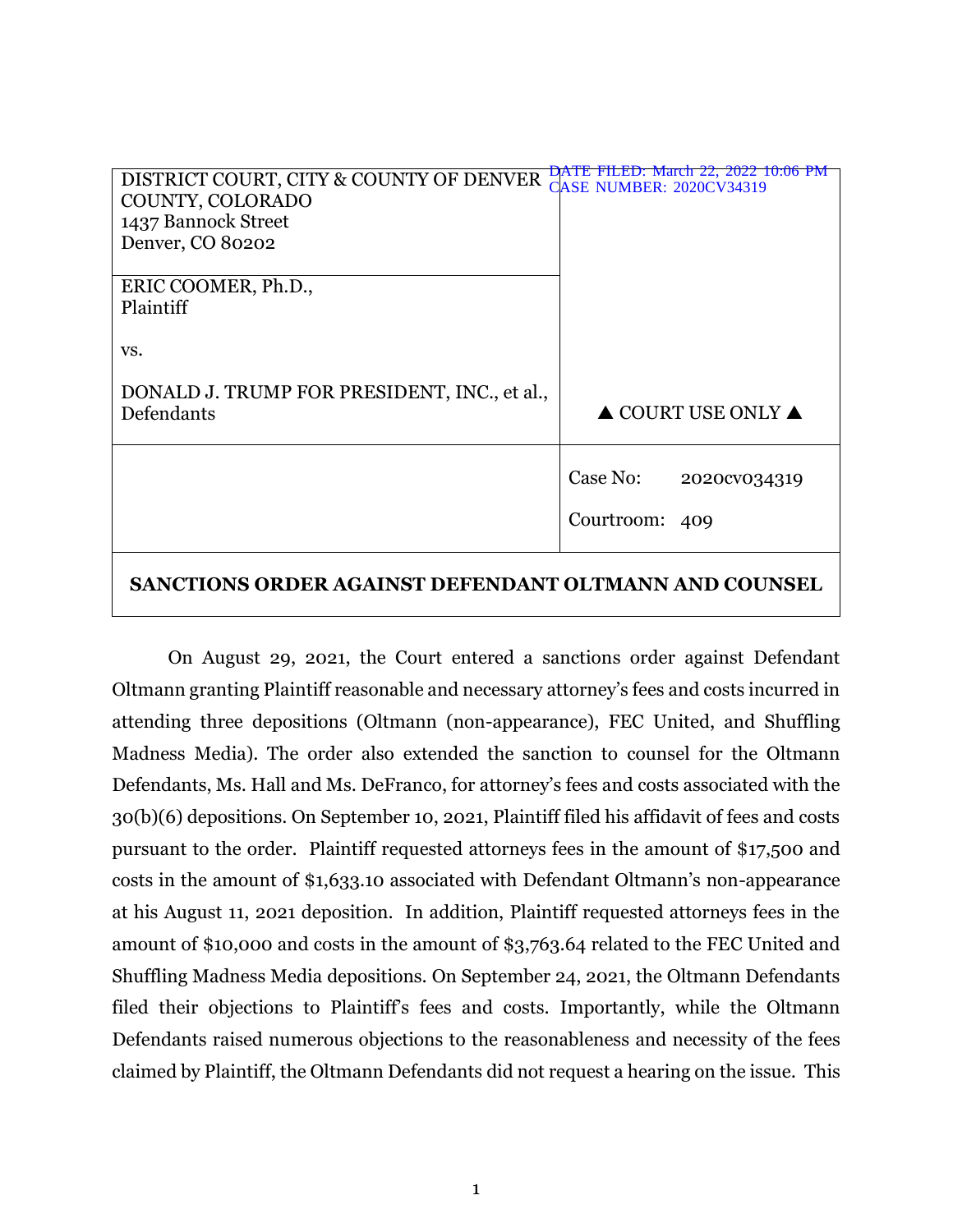| DISTRICT COURT, CITY & COUNTY OF DENVER               | <b>DATE FILED:</b> March 22, 2022 10:06 PM<br><b>CASE NUMBER: 2020CV34319</b> |
|-------------------------------------------------------|-------------------------------------------------------------------------------|
| COUNTY, COLORADO                                      |                                                                               |
| 1437 Bannock Street                                   |                                                                               |
| Denver, CO 80202                                      |                                                                               |
|                                                       |                                                                               |
| ERIC COOMER, Ph.D.,                                   |                                                                               |
| Plaintiff                                             |                                                                               |
|                                                       |                                                                               |
| VS.                                                   |                                                                               |
|                                                       |                                                                               |
| DONALD J. TRUMP FOR PRESIDENT, INC., et al.,          |                                                                               |
| Defendants                                            | $\triangle$ COURT USE ONLY $\triangle$                                        |
|                                                       |                                                                               |
|                                                       |                                                                               |
|                                                       | Case No:<br>2020cv034319                                                      |
|                                                       |                                                                               |
|                                                       | Courtroom: 409                                                                |
|                                                       |                                                                               |
|                                                       |                                                                               |
| SANCTIONS ORDER AGAINST DEFENDANT OLTMANN AND COUNSEL |                                                                               |

# On August 29, 2021, the Court entered a sanctions order against Defendant Oltmann granting Plaintiff reasonable and necessary attorney's fees and costs incurred in attending three depositions (Oltmann (non-appearance), FEC United, and Shuffling Madness Media). The order also extended the sanction to counsel for the Oltmann Defendants, Ms. Hall and Ms. DeFranco, for attorney's fees and costs associated with the 30(b)(6) depositions. On September 10, 2021, Plaintiff filed his affidavit of fees and costs pursuant to the order. Plaintiff requested attorneys fees in the amount of \$17,500 and costs in the amount of \$1,633.10 associated with Defendant Oltmann's non-appearance at his August 11, 2021 deposition. In addition, Plaintiff requested attorneys fees in the amount of \$10,000 and costs in the amount of \$3,763.64 related to the FEC United and Shuffling Madness Media depositions. On September 24, 2021, the Oltmann Defendants filed their objections to Plaintiff's fees and costs. Importantly, while the Oltmann Defendants raised numerous objections to the reasonableness and necessity of the fees claimed by Plaintiff, the Oltmann Defendants did not request a hearing on the issue. This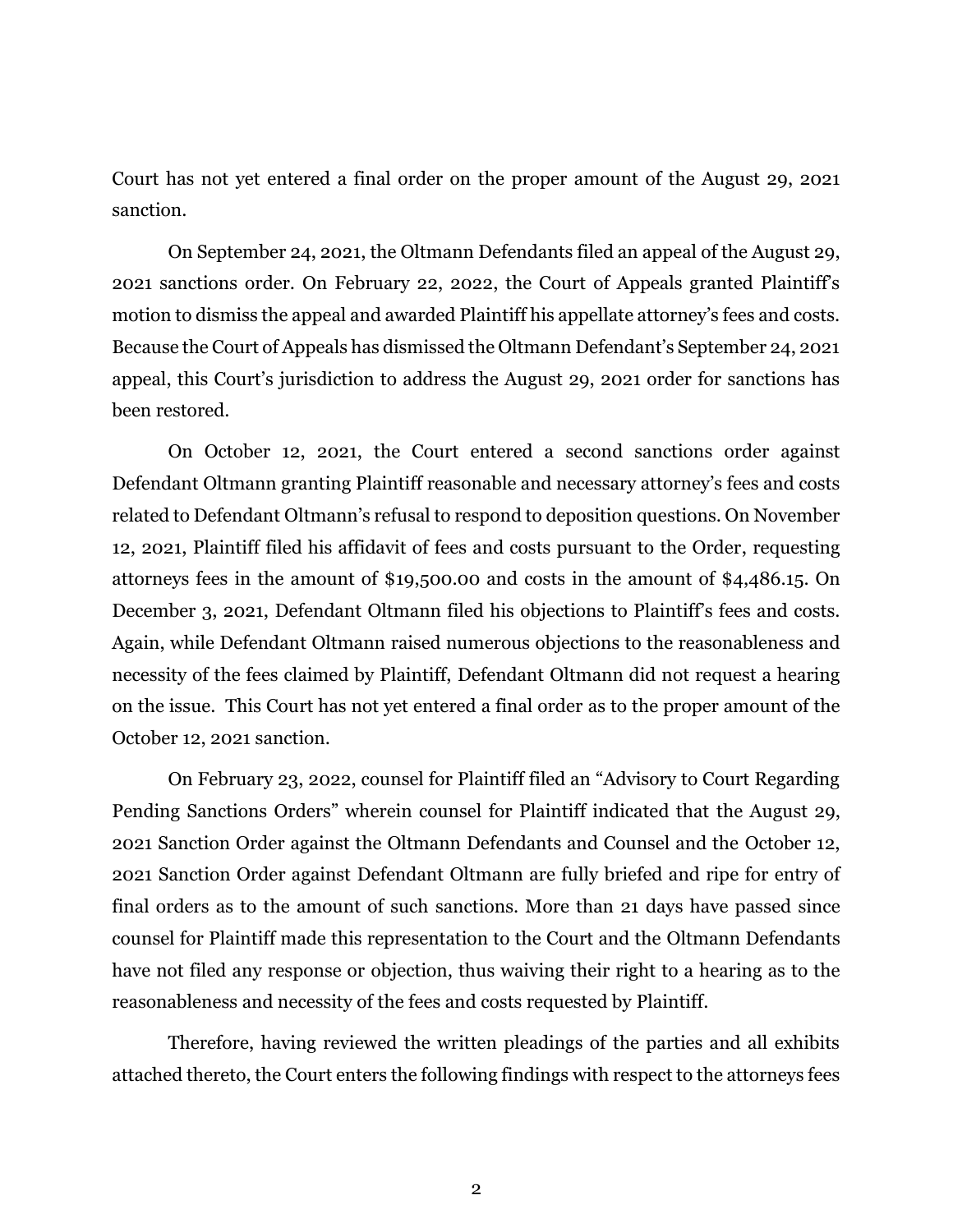Court has not yet entered a final order on the proper amount of the August 29, 2021 sanction.

On September 24, 2021, the Oltmann Defendants filed an appeal of the August 29, 2021 sanctions order. On February 22, 2022, the Court of Appeals granted Plaintiff's motion to dismiss the appeal and awarded Plaintiff his appellate attorney's fees and costs. Because the Court of Appeals has dismissed the Oltmann Defendant's September 24, 2021 appeal, this Court's jurisdiction to address the August 29, 2021 order for sanctions has been restored.

On October 12, 2021, the Court entered a second sanctions order against Defendant Oltmann granting Plaintiff reasonable and necessary attorney's fees and costs related to Defendant Oltmann's refusal to respond to deposition questions. On November 12, 2021, Plaintiff filed his affidavit of fees and costs pursuant to the Order, requesting attorneys fees in the amount of \$19,500.00 and costs in the amount of \$4,486.15. On December 3, 2021, Defendant Oltmann filed his objections to Plaintiff's fees and costs. Again, while Defendant Oltmann raised numerous objections to the reasonableness and necessity of the fees claimed by Plaintiff, Defendant Oltmann did not request a hearing on the issue. This Court has not yet entered a final order as to the proper amount of the October 12, 2021 sanction.

On February 23, 2022, counsel for Plaintiff filed an "Advisory to Court Regarding Pending Sanctions Orders" wherein counsel for Plaintiff indicated that the August 29, 2021 Sanction Order against the Oltmann Defendants and Counsel and the October 12, 2021 Sanction Order against Defendant Oltmann are fully briefed and ripe for entry of final orders as to the amount of such sanctions. More than 21 days have passed since counsel for Plaintiff made this representation to the Court and the Oltmann Defendants have not filed any response or objection, thus waiving their right to a hearing as to the reasonableness and necessity of the fees and costs requested by Plaintiff.

Therefore, having reviewed the written pleadings of the parties and all exhibits attached thereto, the Court enters the following findings with respect to the attorneys fees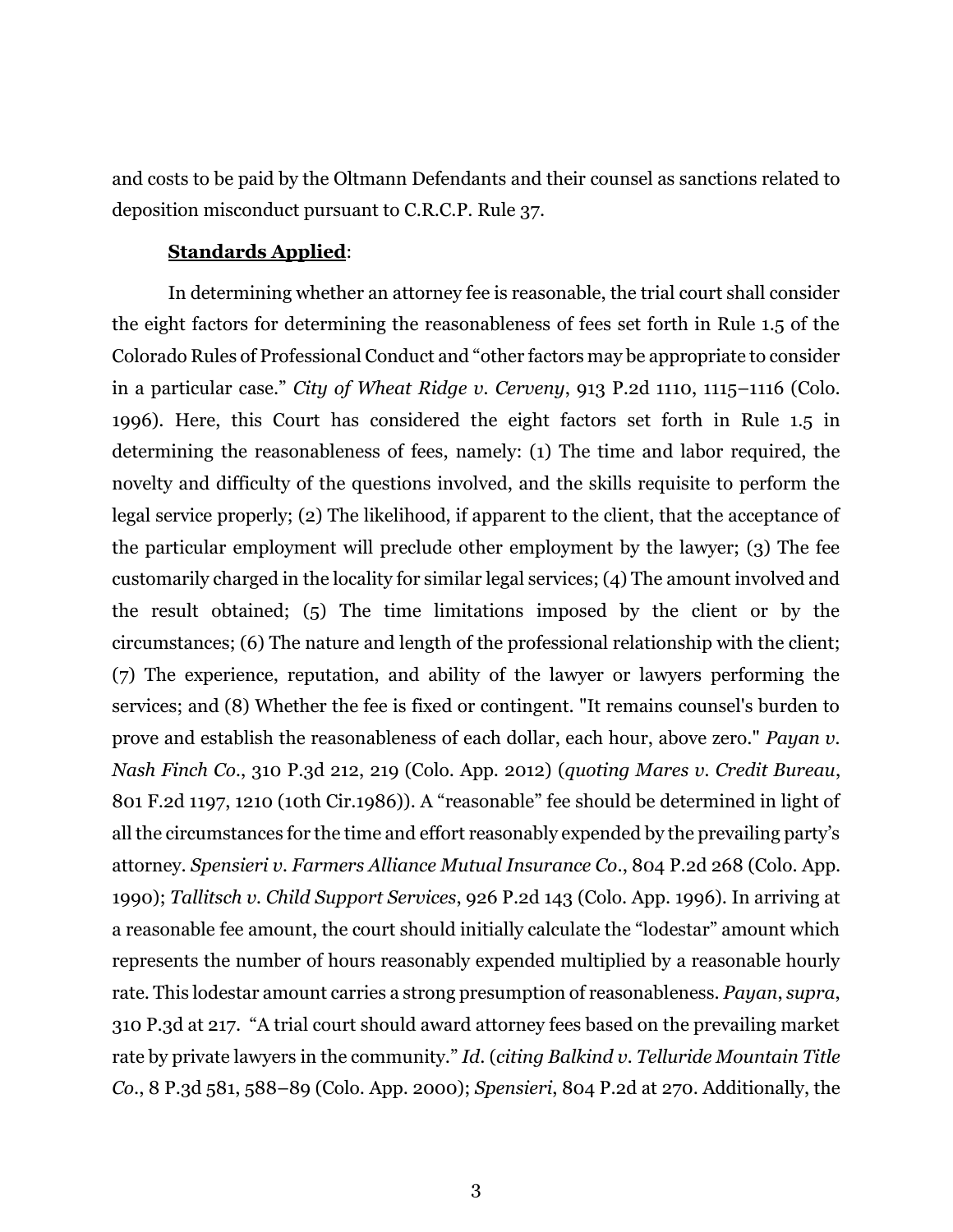and costs to be paid by the Oltmann Defendants and their counsel as sanctions related to deposition misconduct pursuant to C.R.C.P. Rule 37.

#### **Standards Applied**:

In determining whether an attorney fee is reasonable, the trial court shall consider the eight factors for determining the reasonableness of fees set forth in Rule 1.5 of the Colorado Rules of Professional Conduct and "other factors may be appropriate to consider in a particular case." *City of Wheat Ridge v. Cerveny*, 913 P.2d 1110, 1115–1116 (Colo. 1996). Here, this Court has considered the eight factors set forth in Rule 1.5 in determining the reasonableness of fees, namely: (1) The time and labor required, the novelty and difficulty of the questions involved, and the skills requisite to perform the legal service properly; (2) The likelihood, if apparent to the client, that the acceptance of the particular employment will preclude other employment by the lawyer; (3) The fee customarily charged in the locality for similar legal services; (4) The amount involved and the result obtained; (5) The time limitations imposed by the client or by the circumstances; (6) The nature and length of the professional relationship with the client; (7) The experience, reputation, and ability of the lawyer or lawyers performing the services; and (8) Whether the fee is fixed or contingent. "It remains counsel's burden to prove and establish the reasonableness of each dollar, each hour, above zero." *Payan v. Nash Finch Co.*, 310 P.3d 212, 219 (Colo. App. 2012) (*quoting Mares v. Credit Bureau*, 801 F.2d 1197, 1210 (10th Cir.1986)). A "reasonable" fee should be determined in light of all the circumstances for the time and effort reasonably expended by the prevailing party's attorney. *Spensieri v. Farmers Alliance Mutual Insurance Co*., 804 P.2d 268 (Colo. App. 1990); *Tallitsch v. Child Support Services*, 926 P.2d 143 (Colo. App. 1996). In arriving at a reasonable fee amount, the court should initially calculate the "lodestar" amount which represents the number of hours reasonably expended multiplied by a reasonable hourly rate. This lodestar amount carries a strong presumption of reasonableness. *Payan*, *supra*, 310 P.3d at 217. "A trial court should award attorney fees based on the prevailing market rate by private lawyers in the community." *Id*. (*citing Balkind v. Telluride Mountain Title Co*., 8 P.3d 581, 588–89 (Colo. App. 2000); *Spensieri*, 804 P.2d at 270. Additionally, the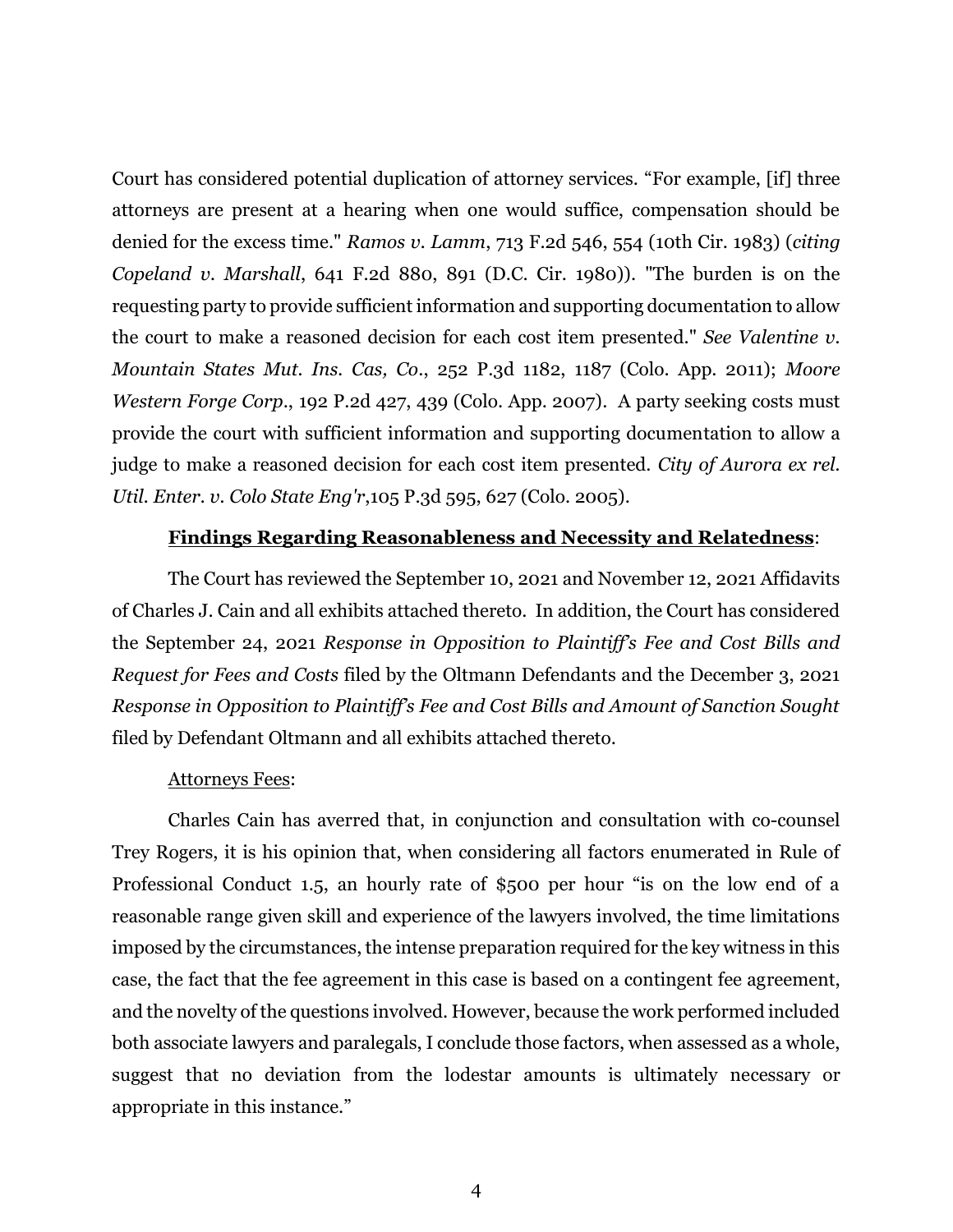Court has considered potential duplication of attorney services. "For example, [if] three attorneys are present at a hearing when one would suffice, compensation should be denied for the excess time." *Ramos v. Lamm*, 713 F.2d 546, 554 (10th Cir. 1983) (*citing Copeland v. Marshall*, 641 F.2d 880, 891 (D.C. Cir. 1980)). "The burden is on the requesting party to provide sufficient information and supporting documentation to allow the court to make a reasoned decision for each cost item presented." *See Valentine v. Mountain States Mut. Ins. Cas, Co*., 252 P.3d 1182, 1187 (Colo. App. 2011); *Moore Western Forge Corp.*, 192 P.2d 427, 439 (Colo. App. 2007). A party seeking costs must provide the court with sufficient information and supporting documentation to allow a judge to make a reasoned decision for each cost item presented. *City of Aurora ex rel. Util. Enter. v. Colo State Eng'r*,105 P.3d 595, 627 (Colo. 2005).

### **Findings Regarding Reasonableness and Necessity and Relatedness**:

The Court has reviewed the September 10, 2021 and November 12, 2021 Affidavits of Charles J. Cain and all exhibits attached thereto. In addition, the Court has considered the September 24, 2021 *Response in Opposition to Plaintiff's Fee and Cost Bills and Request for Fees and Costs* filed by the Oltmann Defendants and the December 3, 2021 *Response in Opposition to Plaintiff's Fee and Cost Bills and Amount of Sanction Sought* filed by Defendant Oltmann and all exhibits attached thereto.

#### Attorneys Fees:

Charles Cain has averred that, in conjunction and consultation with co-counsel Trey Rogers, it is his opinion that, when considering all factors enumerated in Rule of Professional Conduct 1.5, an hourly rate of \$500 per hour "is on the low end of a reasonable range given skill and experience of the lawyers involved, the time limitations imposed by the circumstances, the intense preparation required for the key witness in this case, the fact that the fee agreement in this case is based on a contingent fee agreement, and the novelty of the questions involved. However, because the work performed included both associate lawyers and paralegals, I conclude those factors, when assessed as a whole, suggest that no deviation from the lodestar amounts is ultimately necessary or appropriate in this instance."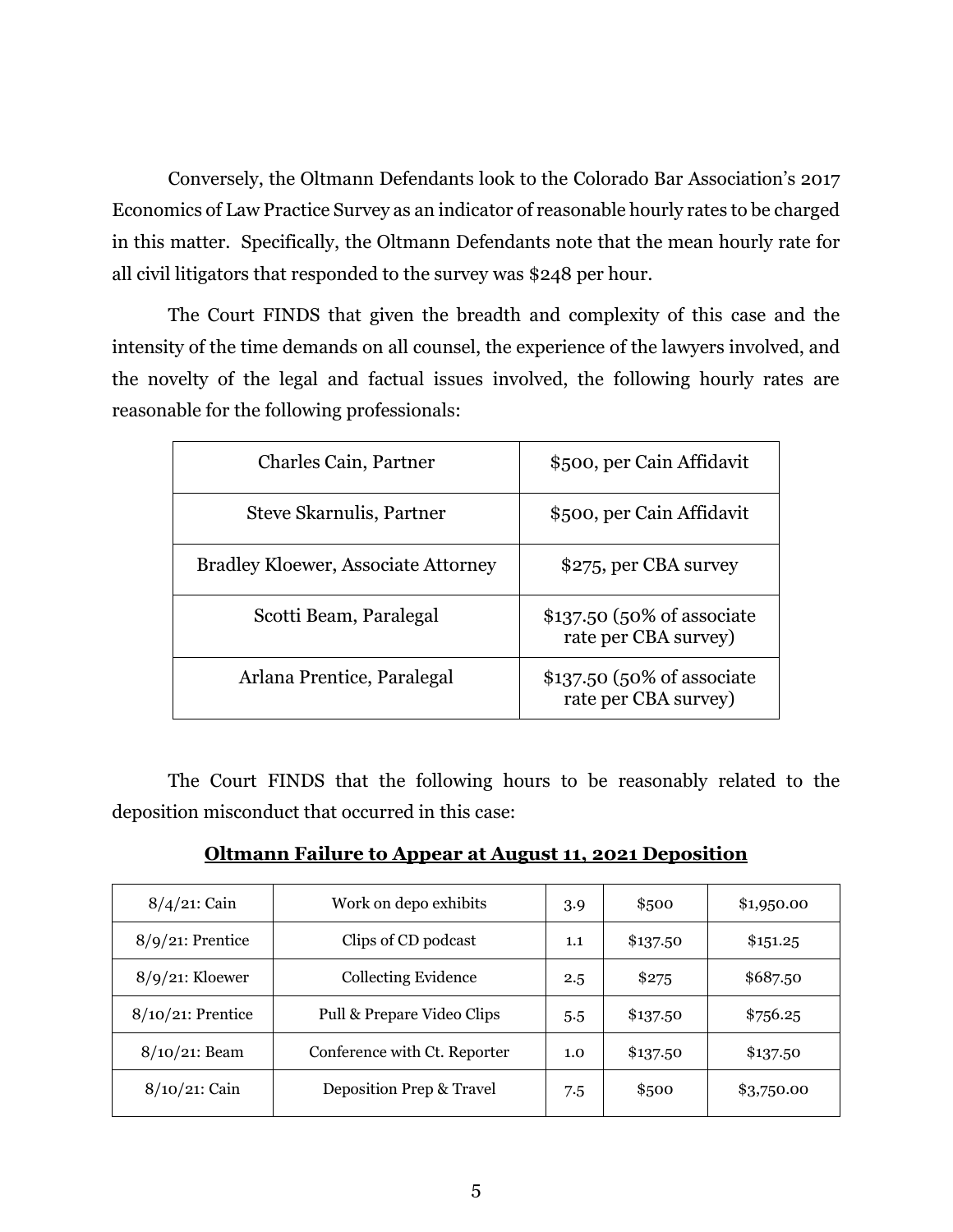Conversely, the Oltmann Defendants look to the Colorado Bar Association's 2017 Economics of Law Practice Survey as an indicator of reasonable hourly rates to be charged in this matter. Specifically, the Oltmann Defendants note that the mean hourly rate for all civil litigators that responded to the survey was \$248 per hour.

The Court FINDS that given the breadth and complexity of this case and the intensity of the time demands on all counsel, the experience of the lawyers involved, and the novelty of the legal and factual issues involved, the following hourly rates are reasonable for the following professionals:

| <b>Charles Cain, Partner</b>               | \$500, per Cain Affidavit                          |
|--------------------------------------------|----------------------------------------------------|
| Steve Skarnulis, Partner                   | \$500, per Cain Affidavit                          |
| <b>Bradley Kloewer, Associate Attorney</b> | \$275, per CBA survey                              |
| Scotti Beam, Paralegal                     | \$137.50 (50% of associate<br>rate per CBA survey) |
| Arlana Prentice, Paralegal                 | \$137.50 (50% of associate<br>rate per CBA survey) |

The Court FINDS that the following hours to be reasonably related to the deposition misconduct that occurred in this case:

**Oltmann Failure to Appear at August 11, 2021 Deposition**

| $8/4/21$ : Cain      | Work on depo exhibits        | 3.9 | \$500    | \$1,950.00 |
|----------------------|------------------------------|-----|----------|------------|
| $8/9/21$ : Prentice  | Clips of CD podcast          |     | \$137.50 | \$151.25   |
| $8/9/21$ : Kloewer   | <b>Collecting Evidence</b>   | 2.5 | \$275    | \$687.50   |
| $8/10/21$ : Prentice | Pull & Prepare Video Clips   | 5.5 | \$137.50 | \$756.25   |
| $8/10/21$ : Beam     | Conference with Ct. Reporter | 1.0 | \$137.50 | \$137.50   |
| 8/10/21: Cain        | Deposition Prep & Travel     | 7.5 | \$500    | \$3,750.00 |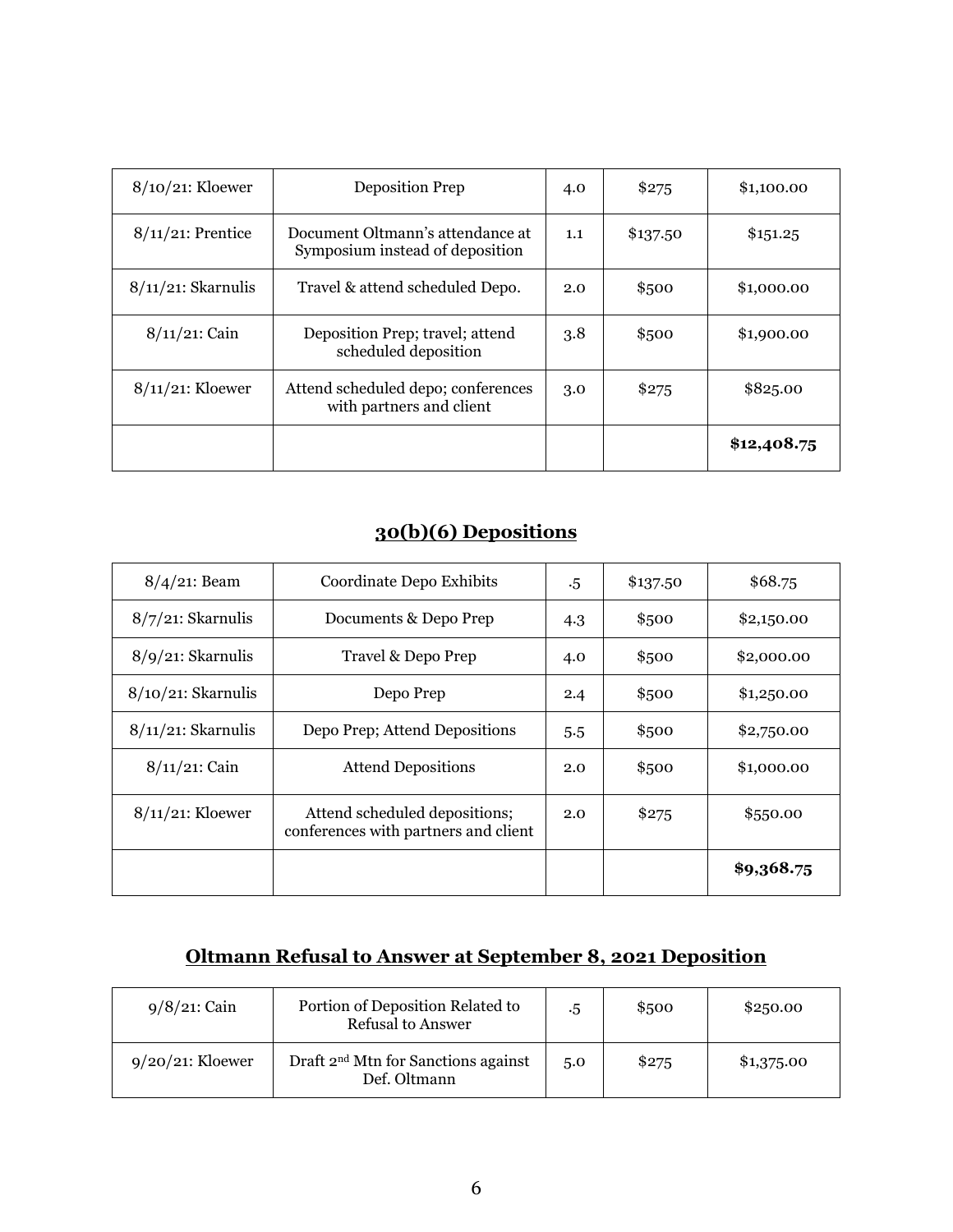| $8/10/21$ : Kloewer   | <b>Deposition Prep</b>                                              | 4.0 | \$275    | \$1,100.00  |
|-----------------------|---------------------------------------------------------------------|-----|----------|-------------|
| $8/11/21$ : Prentice  | Document Oltmann's attendance at<br>Symposium instead of deposition | 1.1 | \$137.50 | \$151.25    |
| $8/11/21$ : Skarnulis | Travel & attend scheduled Depo.                                     | 2.0 | \$500    | \$1,000.00  |
| $8/11/21$ : Cain      | Deposition Prep; travel; attend<br>scheduled deposition             | 3.8 | \$500    | \$1,900.00  |
| $8/11/21$ : Kloewer   | Attend scheduled depo; conferences<br>with partners and client      | 3.0 | \$275    | \$825.00    |
|                       |                                                                     |     |          | \$12,408.75 |

## **30(b)(6) Depositions**

| $8/4/21$ : Beam       | Coordinate Depo Exhibits                                              | $.5\,$ | \$137.50 | \$68.75    |
|-----------------------|-----------------------------------------------------------------------|--------|----------|------------|
| $8/7/21$ : Skarnulis  | Documents & Depo Prep                                                 | 4.3    | \$500    | \$2,150.00 |
| $8/9/21$ : Skarnulis  | Travel & Depo Prep                                                    | 4.0    | \$500    | \$2,000.00 |
| $8/10/21$ : Skarnulis | Depo Prep                                                             | 2.4    | \$500    | \$1,250.00 |
| $8/11/21$ : Skarnulis | Depo Prep; Attend Depositions                                         | 5.5    | \$500    | \$2,750.00 |
| $8/11/21$ : Cain      | <b>Attend Depositions</b>                                             | 2.0    | \$500    | \$1,000.00 |
| $8/11/21$ : Kloewer   | Attend scheduled depositions;<br>conferences with partners and client | 2.0    | \$275    | \$550.00   |
|                       |                                                                       |        |          | \$9,368.75 |

## **Oltmann Refusal to Answer at September 8, 2021 Deposition**

| $9/8/21$ : Cain     | Portion of Deposition Related to<br><b>Refusal to Answer</b>    | .5  | \$500 | \$2,50.00  |
|---------------------|-----------------------------------------------------------------|-----|-------|------------|
| $9/20/21$ : Kloewer | Draft 2 <sup>nd</sup> Mtn for Sanctions against<br>Def. Oltmann | 5.0 | \$275 | \$1,375.00 |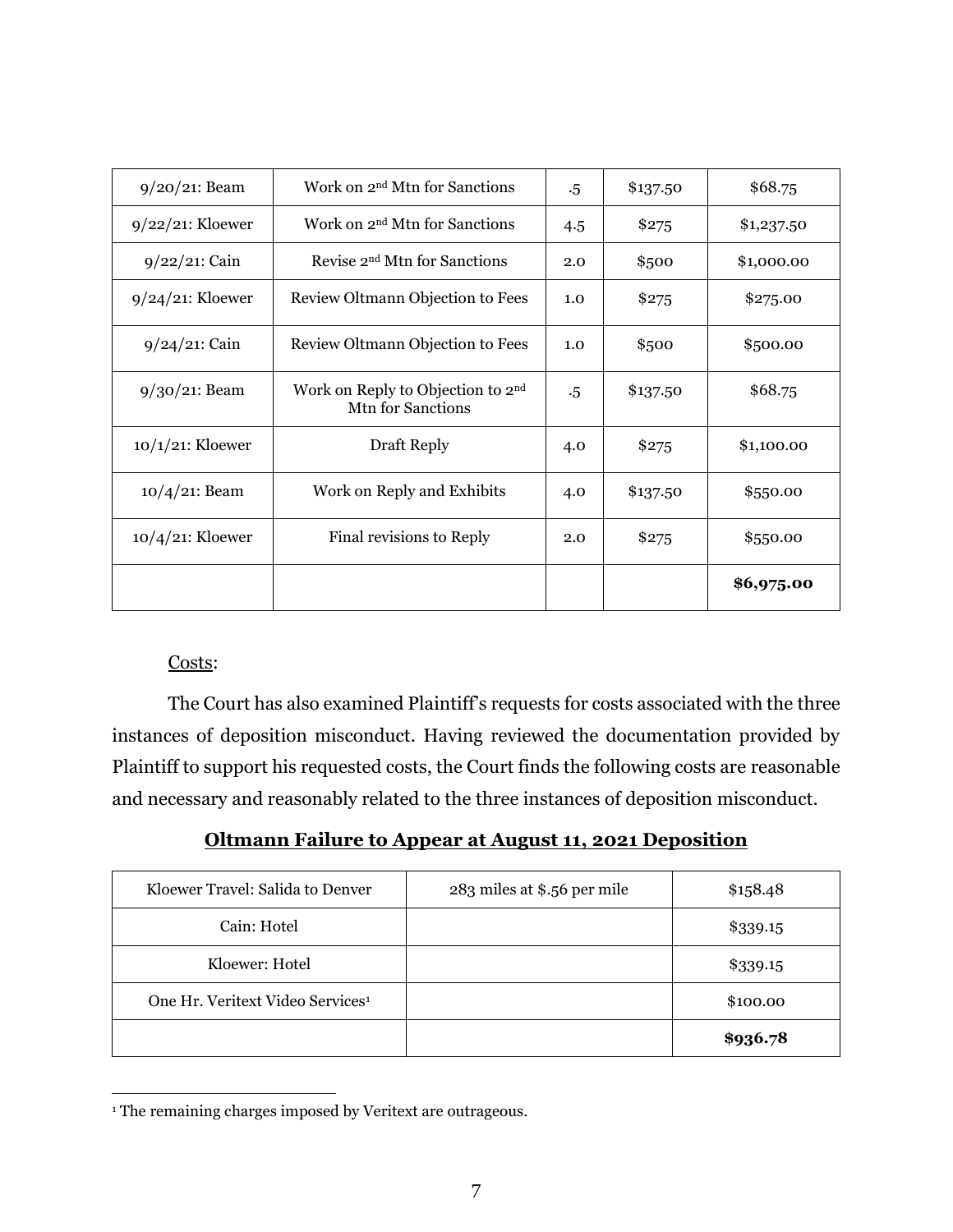| $9/20/21$ : Beam    | Work on 2 <sup>nd</sup> Mtn for Sanctions                                      | $.5\,$ | \$137.50 | \$68.75    |
|---------------------|--------------------------------------------------------------------------------|--------|----------|------------|
| $9/22/21$ : Kloewer | Work on 2 <sup>nd</sup> Mtn for Sanctions                                      | 4.5    | \$275    | \$1,237.50 |
| $9/22/21$ : Cain    | Revise 2 <sup>nd</sup> Mtn for Sanctions                                       | 2.0    | \$500    | \$1,000.00 |
| $9/24/21$ : Kloewer | Review Oltmann Objection to Fees                                               | 1.0    | \$275    | \$275.00   |
| $9/24/21$ : Cain    | Review Oltmann Objection to Fees                                               | 1.0    | \$500    | \$500.00   |
| $9/30/21$ : Beam    | Work on Reply to Objection to 2 <sup>nd</sup><br>M <sub>th</sub> for Sanctions | $.5\,$ | \$137.50 | \$68.75    |
| $10/1/21$ : Kloewer | Draft Reply                                                                    | 4.0    | \$275    | \$1,100.00 |
| $10/4/21$ : Beam    | Work on Reply and Exhibits                                                     | 4.0    | \$137.50 | \$550.00   |
| $10/4/21$ : Kloewer | Final revisions to Reply                                                       |        | \$275    | \$550.00   |
|                     |                                                                                |        |          | \$6,975.00 |

## Costs:

 $\overline{a}$ 

The Court has also examined Plaintiff's requests for costs associated with the three instances of deposition misconduct. Having reviewed the documentation provided by Plaintiff to support his requested costs, the Court finds the following costs are reasonable and necessary and reasonably related to the three instances of deposition misconduct.

**Oltmann Failure to Appear at August 11, 2021 Deposition**

| Kloewer Travel: Salida to Denver             | 283 miles at \$.56 per mile | \$158.48 |
|----------------------------------------------|-----------------------------|----------|
| Cain: Hotel                                  |                             | \$339.15 |
| Kloewer: Hotel                               |                             | \$339.15 |
| One Hr. Veritext Video Services <sup>1</sup> |                             | \$100.00 |
|                                              |                             | \$936.78 |

<sup>&</sup>lt;sup>1</sup> The remaining charges imposed by Veritext are outrageous.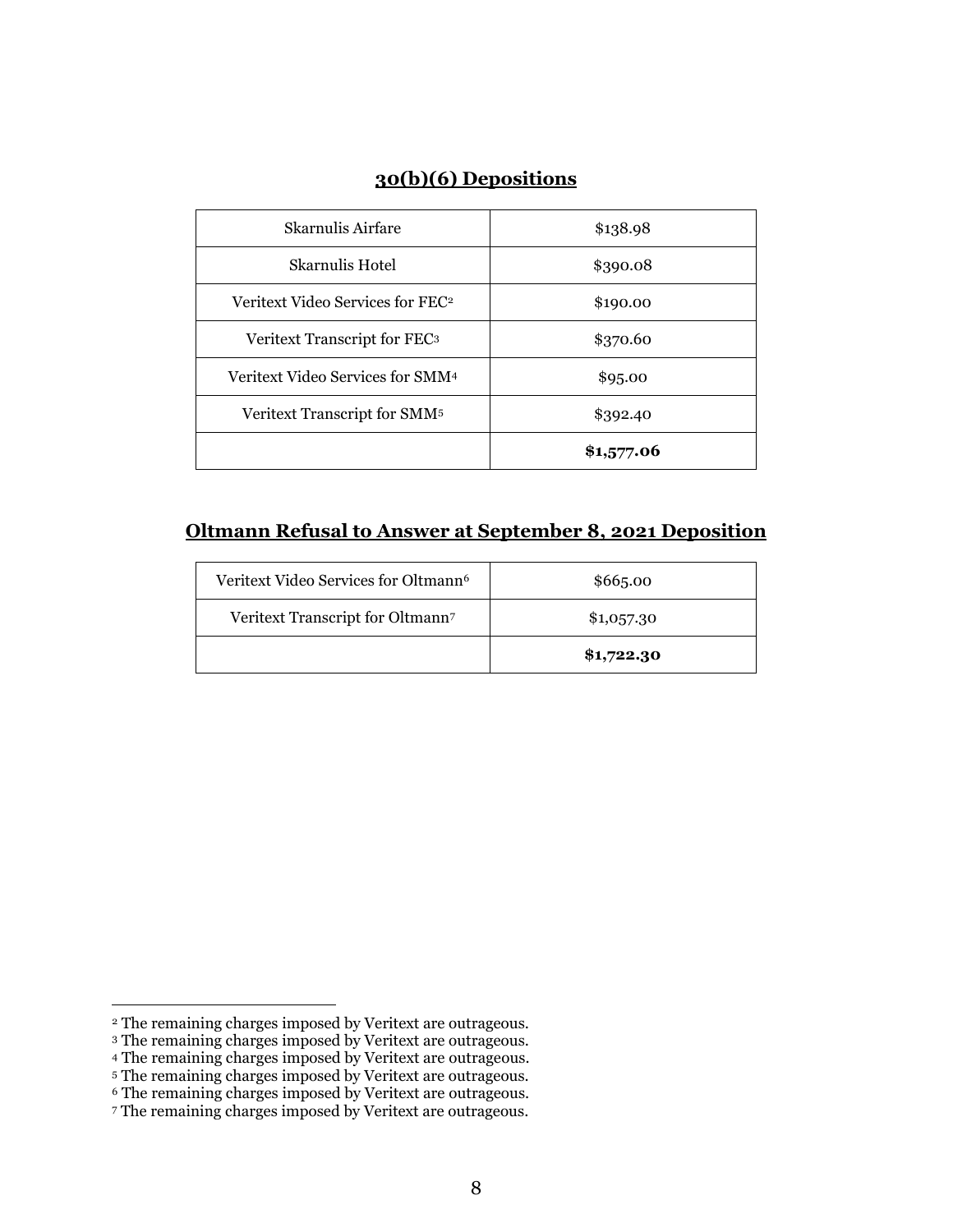## **30(b)(6) Depositions**

| Skarnulis Airfare                            | \$138.98   |
|----------------------------------------------|------------|
| Skarnulis Hotel                              | \$390.08   |
| Veritext Video Services for FEC <sup>2</sup> | \$190.00   |
| Veritext Transcript for FEC <sup>3</sup>     | \$370.60   |
| Veritext Video Services for SMM <sup>4</sup> | \$95.00    |
| Veritext Transcript for SMM <sup>5</sup>     | \$392.40   |
|                                              | \$1,577.06 |

## **Oltmann Refusal to Answer at September 8, 2021 Deposition**

| Veritext Video Services for Oltmann <sup>6</sup> | \$665.00   |
|--------------------------------------------------|------------|
| Veritext Transcript for Oltmann7                 | \$1,057.30 |
|                                                  | \$1,722.30 |

 $\overline{a}$ 

<sup>2</sup> The remaining charges imposed by Veritext are outrageous.

<sup>3</sup> The remaining charges imposed by Veritext are outrageous.

<sup>4</sup> The remaining charges imposed by Veritext are outrageous.

<sup>5</sup> The remaining charges imposed by Veritext are outrageous.

<sup>6</sup> The remaining charges imposed by Veritext are outrageous.

<sup>7</sup> The remaining charges imposed by Veritext are outrageous.